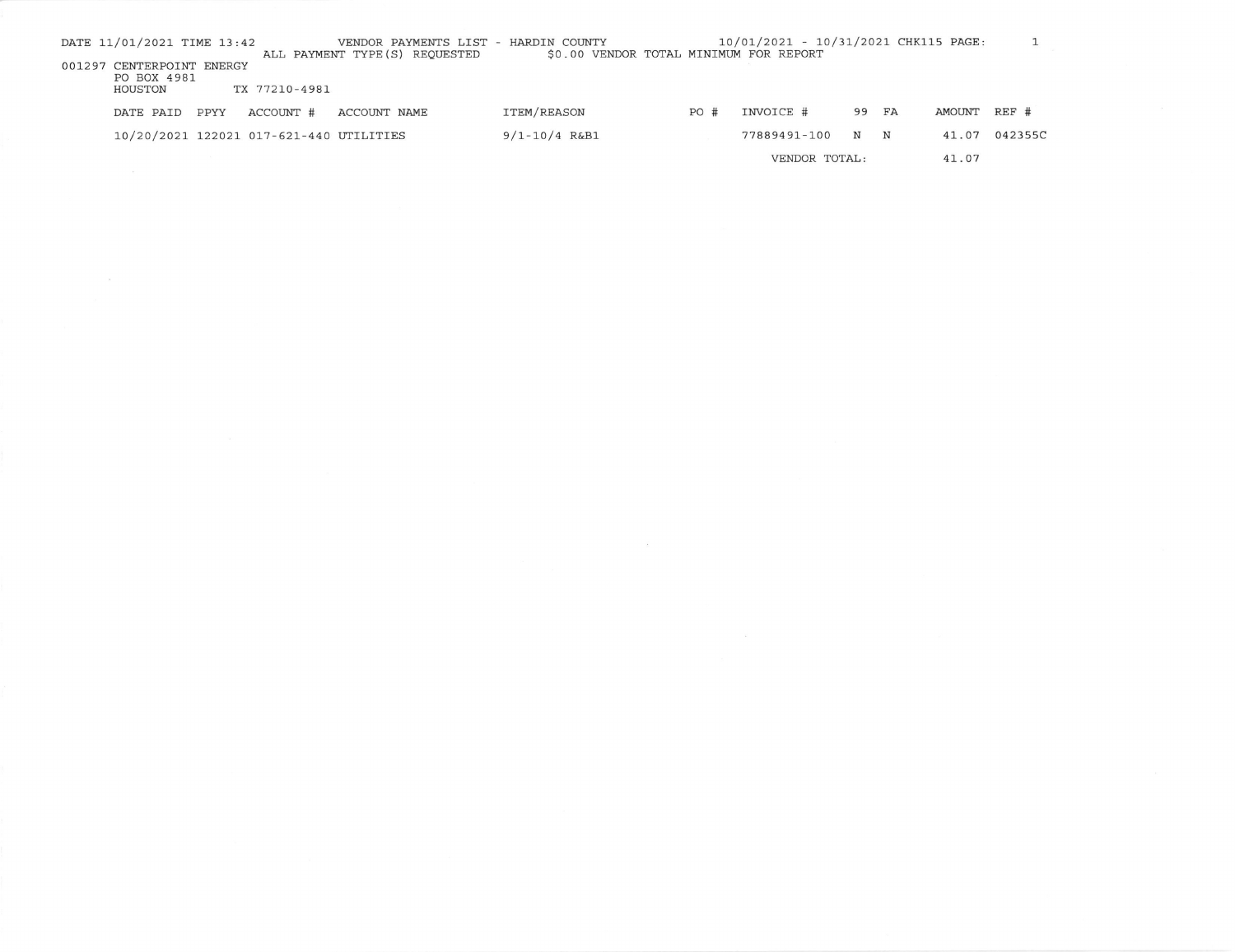| DATE 11/01/2021 TIME 13:42 |      |               |                                         | VENDOR PAYMENTS LIST - | HARDIN COUNTY     |  |     | 10/01/2021 - 10/31/2021 CHK115 PAGE:   |               |       |        |         |  |
|----------------------------|------|---------------|-----------------------------------------|------------------------|-------------------|--|-----|----------------------------------------|---------------|-------|--------|---------|--|
|                            |      |               | ALL PAYMENT TYPE (S) REOUESTED          |                        |                   |  |     | \$0.00 VENDOR TOTAL MINIMUM FOR REPORT |               |       |        |         |  |
| 001297 CENTERPOINT ENERGY  |      |               |                                         |                        |                   |  |     |                                        |               |       |        |         |  |
| PO BOX 4981                |      |               |                                         |                        |                   |  |     |                                        |               |       |        |         |  |
| HOUSTON                    |      | TX 77210-4981 |                                         |                        |                   |  |     |                                        |               |       |        |         |  |
|                            |      |               |                                         |                        |                   |  |     |                                        |               |       |        |         |  |
| DATE PAID                  | PPYY | ACCOUNT #     | ACCOUNT NAME                            |                        | ITEM/REASON       |  | PO# | INVOICE #                              |               | 99 FA | AMOUNT | $REF$ # |  |
|                            |      |               |                                         |                        |                   |  |     |                                        |               |       |        |         |  |
|                            |      |               | 10/20/2021 122021 017-621-440 UTILITIES |                        | $9/1 - 10/4$ R&B1 |  |     | 77889491-100                           |               | N N   | 41.07  | 042355C |  |
|                            |      |               |                                         |                        |                   |  |     |                                        |               |       |        |         |  |
|                            |      |               |                                         |                        |                   |  |     |                                        | VENDOR TOTAL: |       | 41.07  |         |  |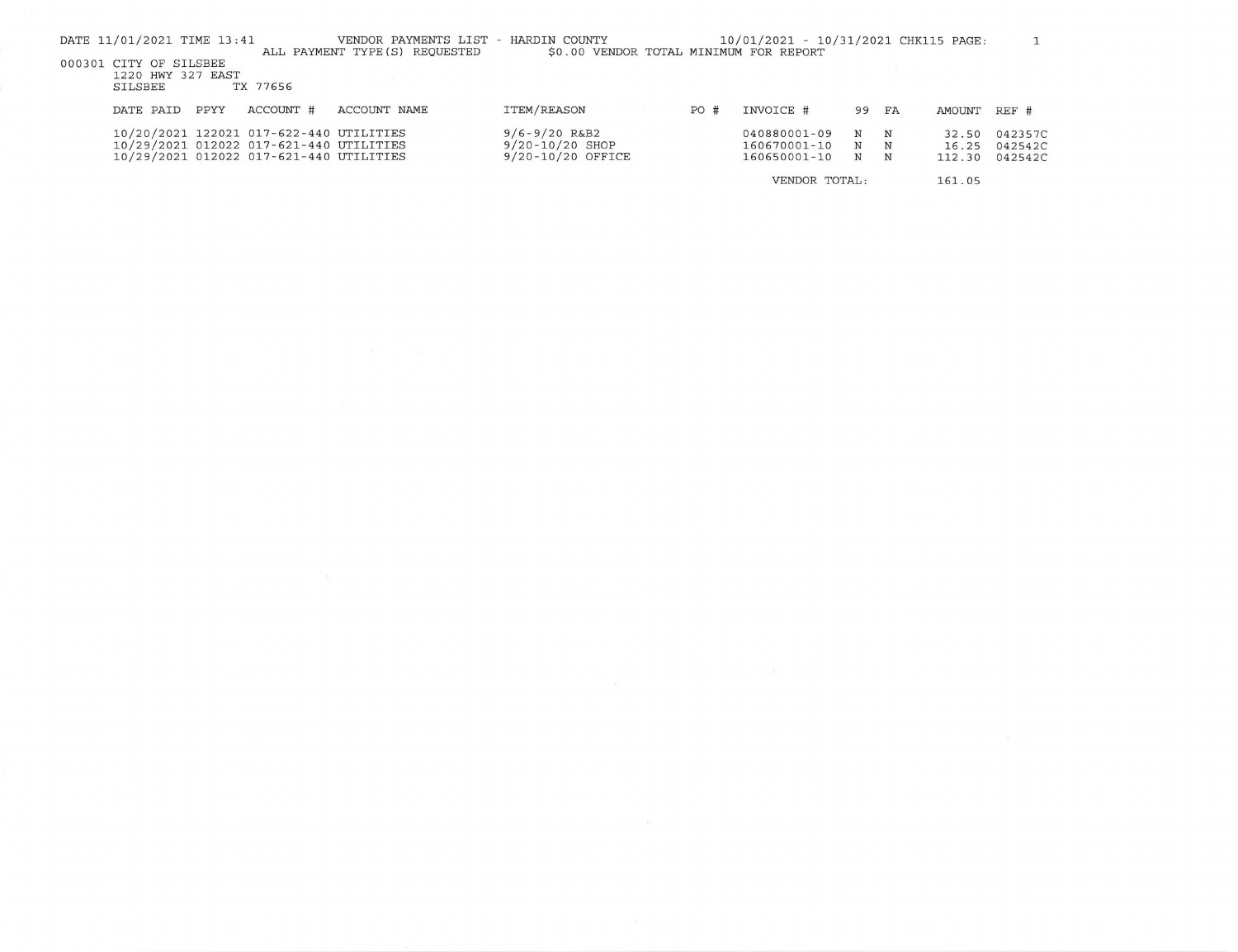| DATE 11/01/2021 TIME 13:41                             |      |                                                                                                                               | VENDOR PAYMENTS LIST<br>ALL PAYMENT TYPE (S) REQUESTED | - HARDIN COUNTY<br>\$0.00 VENDOR TOTAL MINIMUM FOR REPORT     |               |      | 10/01/2021 - 10/31/2021 CHK115 PAGE:             |             |             |                          |                               |
|--------------------------------------------------------|------|-------------------------------------------------------------------------------------------------------------------------------|--------------------------------------------------------|---------------------------------------------------------------|---------------|------|--------------------------------------------------|-------------|-------------|--------------------------|-------------------------------|
| 000301 CITY OF SILSBEE<br>1220 HWY 327 EAST<br>SILSBEE |      | TX 77656                                                                                                                      |                                                        |                                                               |               |      |                                                  |             |             |                          |                               |
| DATE PAID                                              | PPYY | ACCOUNT #                                                                                                                     | ACCOUNT NAME                                           | ITEM/REASON                                                   |               | PO # | INVOICE #                                        | 99          | FA          | AMOUNT                   | $REF$ #                       |
|                                                        |      | 10/20/2021 122021 017-622-440 UTILITIES<br>10/29/2021 012022 017-621-440 UTILITIES<br>10/29/2021 012022 017-621-440 UTILITIES |                                                        | $9/6 - 9/20$ R&B2<br>$9/20 - 10/20$ SHOP<br>9/20-10/20 OFFICE |               |      | $040880001 - 09$<br>160670001-10<br>160650001-10 | N<br>N<br>N | N<br>N<br>N | 32.50<br>16.25<br>112.30 | 042357C<br>042542C<br>042542C |
|                                                        |      |                                                                                                                               |                                                        |                                                               | VENDOR TOTAL: |      |                                                  |             | 161.05      |                          |                               |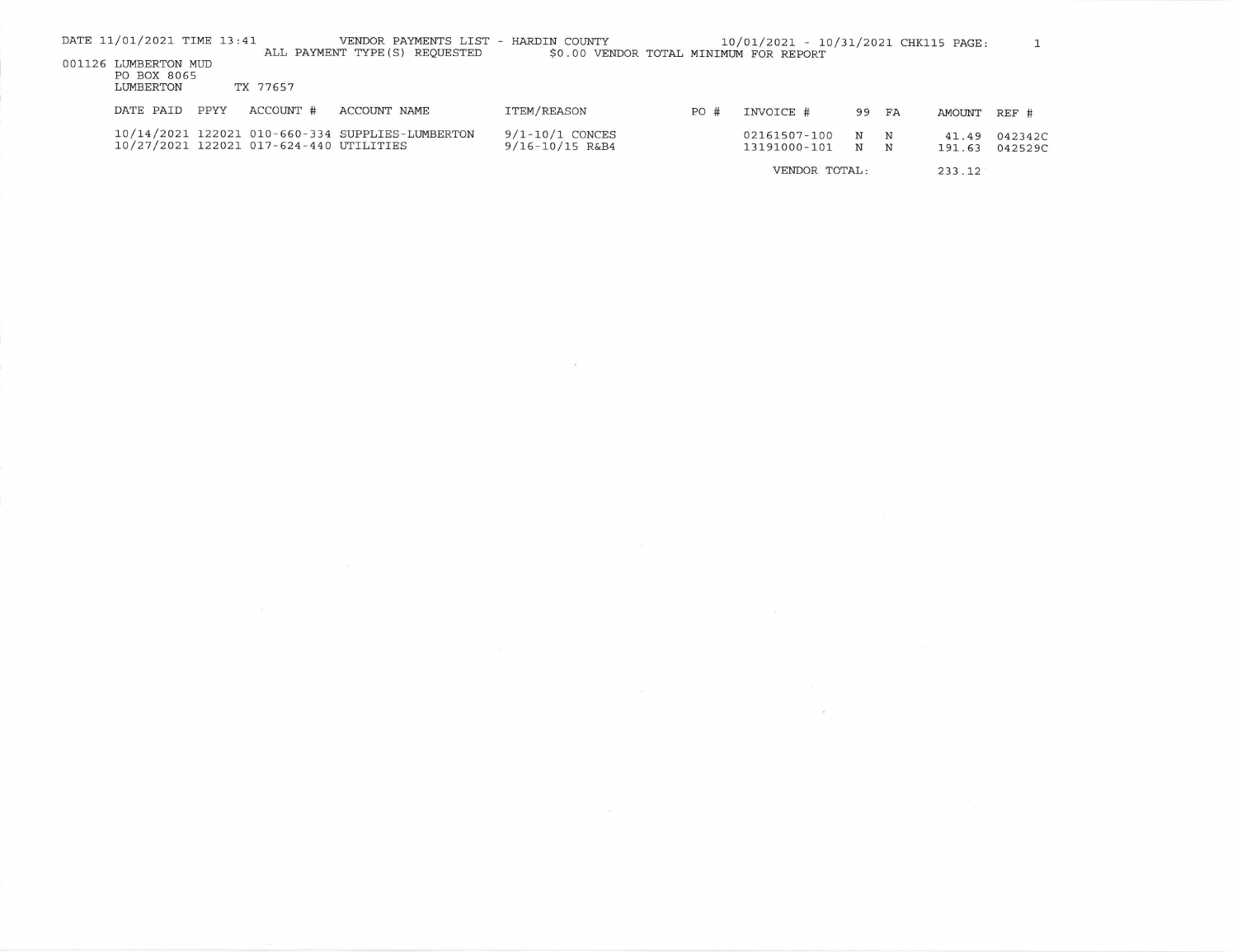| DATE 11/01/2021 TIME 13:41                       | VENDOR PAYMENTS LIST - HARDIN COUNTY                                                        |                                            |     | 10/01/2021 - 10/31/2021 CHK115 PAGE: |                  |                 |                    |
|--------------------------------------------------|---------------------------------------------------------------------------------------------|--------------------------------------------|-----|--------------------------------------|------------------|-----------------|--------------------|
| 001126 LUMBERTON MUD<br>PO BOX 8065<br>LUMBERTON | ALL PAYMENT TYPE (S) REQUESTED<br>TX 77657                                                  | \$0.00 VENDOR TOTAL MINIMUM FOR REPORT     |     |                                      |                  |                 |                    |
| PPYY<br>DATE PAID                                | ACCOUNT #<br>ACCOUNT NAME                                                                   | ITEM/REASON                                | PO# | INVOICE #                            | 99 FA            | AMOUNT REF #    |                    |
|                                                  | 10/14/2021 122021 010-660-334 SUPPLIES-LUMBERTON<br>10/27/2021 122021 017-624-440 UTILITIES | $9/1 - 10/1$ CONCES<br>$9/16 - 10/15$ R&B4 |     | 02161507-100<br>13191000-101         | N<br>N<br>N<br>N | 41.49<br>191.63 | 042342C<br>042529C |
|                                                  |                                                                                             |                                            |     | VENDOR TOTAL:                        |                  | 233.12          |                    |

 $\tilde{\chi}$ 

 $\lambda$ 

the control of the control of the control of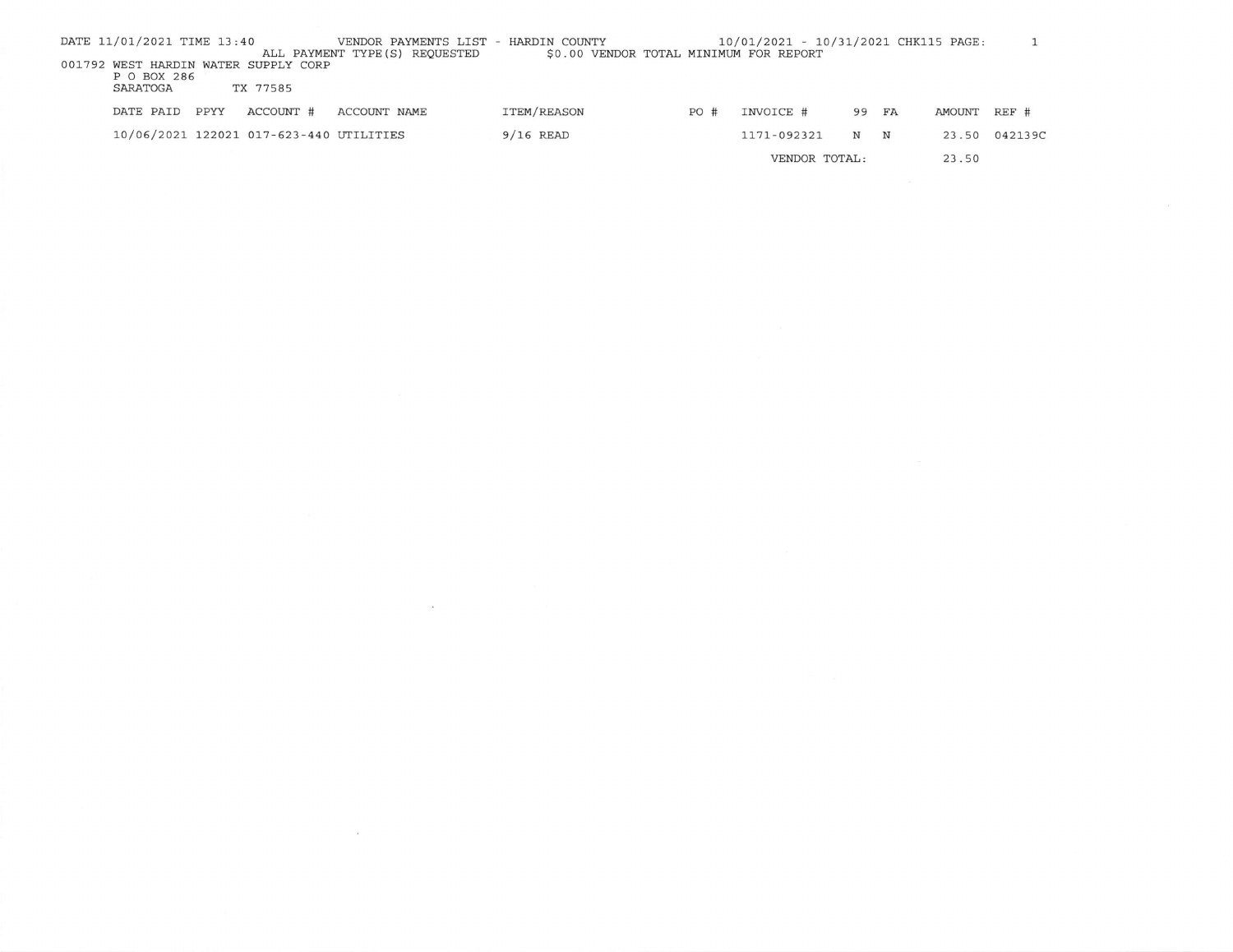| DATE 11/01/2021 TIME 13:40 |      |                                         | VENDOR PAYMENTS LIST - HARDIN COUNTY<br>ALL PAYMENT TYPE (S) REQUESTED | \$0.00 VENDOR TOTAL MINIMUM FOR REPORT |     | 10/01/2021 - 10/31/2021 CHK115 PAGE: |       |        |               |
|----------------------------|------|-----------------------------------------|------------------------------------------------------------------------|----------------------------------------|-----|--------------------------------------|-------|--------|---------------|
| P O BOX 286                |      | 001792 WEST HARDIN WATER SUPPLY CORP    |                                                                        |                                        |     |                                      |       |        |               |
| SARATOGA                   |      | TX 77585                                |                                                                        |                                        |     |                                      |       |        |               |
| DATE PAID                  | PPYY | ACCOUNT #                               | ACCOUNT NAME                                                           | ITEM/REASON                            | PO# | INVOICE #                            | 99 FA | AMOUNT | $REF$ #       |
|                            |      | 10/06/2021 122021 017-623-440 UTILITIES |                                                                        | $9/16$ READ                            |     | 1171-092321                          | N N   |        | 23.50 042139C |
|                            |      |                                         |                                                                        |                                        |     | VENDOR TOTAL:                        |       | 23.50  |               |

 $\label{eq:2.1} \frac{1}{\sqrt{2}}\left(\frac{1}{\sqrt{2}}\right)^{2} \left(\frac{1}{\sqrt{2}}\right)^{2} \left(\frac{1}{\sqrt{2}}\right)^{2} \left(\frac{1}{\sqrt{2}}\right)^{2} \left(\frac{1}{\sqrt{2}}\right)^{2} \left(\frac{1}{\sqrt{2}}\right)^{2} \left(\frac{1}{\sqrt{2}}\right)^{2} \left(\frac{1}{\sqrt{2}}\right)^{2} \left(\frac{1}{\sqrt{2}}\right)^{2} \left(\frac{1}{\sqrt{2}}\right)^{2} \left(\frac{1}{\sqrt{2}}\right)^{2} \left(\$ 

 $\label{eq:R1} \mathbf{z} = \mathbf{z} + \mathbf{z} + \mathbf{z} + \mathbf{z} + \mathbf{z} + \mathbf{z} + \mathbf{z} + \mathbf{z} + \mathbf{z} + \mathbf{z} + \mathbf{z} + \mathbf{z} + \mathbf{z} + \mathbf{z} + \mathbf{z} + \mathbf{z} + \mathbf{z} + \mathbf{z} + \mathbf{z} + \mathbf{z} + \mathbf{z} + \mathbf{z} + \mathbf{z} + \mathbf{z} + \mathbf{z} + \mathbf{z} + \mathbf{z} + \mathbf{z} + \mathbf{z} + \math$